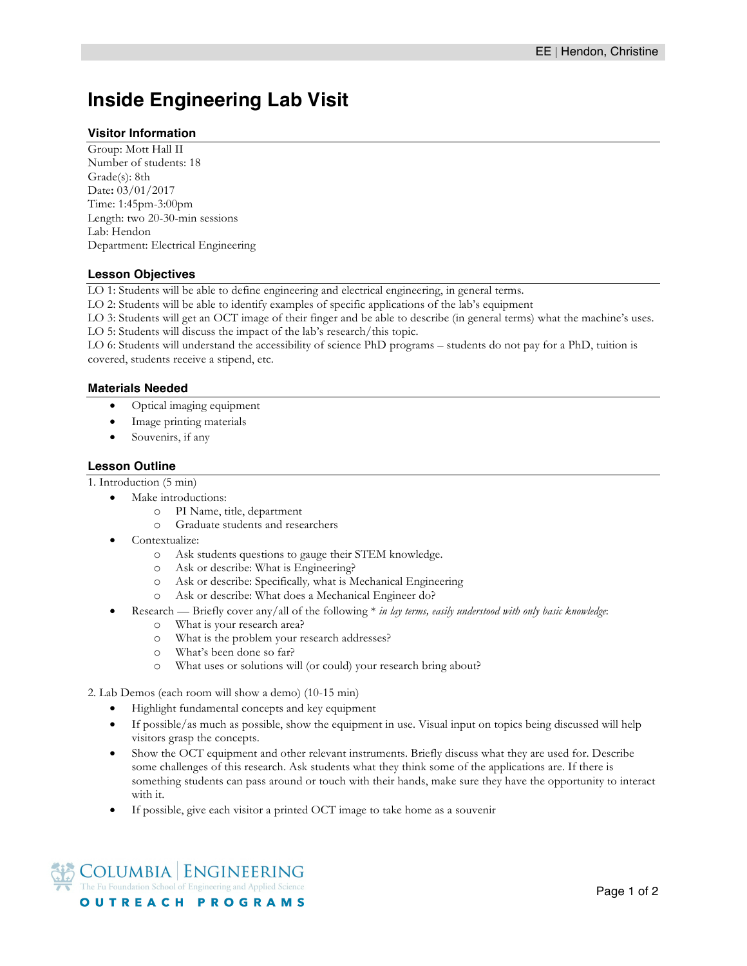# **Inside Engineering Lab Visit**

# **Visitor Information**

Group: Mott Hall II Number of students: 18 Grade(s): 8th Date**:** 03/01/2017 Time: 1:45pm-3:00pm Length: two 20-30-min sessions Lab: Hendon Department: Electrical Engineering

# **Lesson Objectives**

LO 1: Students will be able to define engineering and electrical engineering, in general terms.

LO 2: Students will be able to identify examples of specific applications of the lab's equipment

LO 3: Students will get an OCT image of their finger and be able to describe (in general terms) what the machine's uses.

LO 5: Students will discuss the impact of the lab's research/this topic.

LO 6: Students will understand the accessibility of science PhD programs – students do not pay for a PhD, tuition is covered, students receive a stipend, etc.

### **Materials Needed**

- Optical imaging equipment
- Image printing materials
- Souvenirs, if any

### **Lesson Outline**

1. Introduction (5 min)

- Make introductions:
	- o PI Name, title, department
	- o Graduate students and researchers
- Contextualize:
	- o Ask students questions to gauge their STEM knowledge.
	- o Ask or describe: What is Engineering?
	- o Ask or describe: Specifically*,* what is Mechanical Engineering
	- o Ask or describe: What does a Mechanical Engineer do?
- Research Briefly cover any/all of the following \* *in lay terms, easily understood with only basic knowledge*:
	- o What is your research area?
	- o What is the problem your research addresses?
	- o What's been done so far?
	- o What uses or solutions will (or could) your research bring about?

2. Lab Demos (each room will show a demo) (10-15 min)

- Highlight fundamental concepts and key equipment
- If possible/as much as possible, show the equipment in use. Visual input on topics being discussed will help visitors grasp the concepts.
- Show the OCT equipment and other relevant instruments. Briefly discuss what they are used for. Describe some challenges of this research. Ask students what they think some of the applications are. If there is something students can pass around or touch with their hands, make sure they have the opportunity to interact with it.
- If possible, give each visitor a printed OCT image to take home as a souvenir